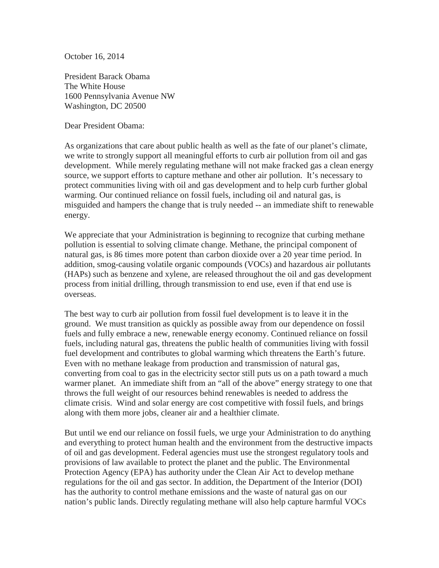October 16, 2014

President Barack Obama The White House 1600 Pennsylvania Avenue NW Washington, DC 20500

Dear President Obama:

As organizations that care about public health as well as the fate of our planet's climate, we write to strongly support all meaningful efforts to curb air pollution from oil and gas development. While merely regulating methane will not make fracked gas a clean energy source, we support efforts to capture methane and other air pollution. It's necessary to protect communities living with oil and gas development and to help curb further global warming. Our continued reliance on fossil fuels, including oil and natural gas, is misguided and hampers the change that is truly needed -- an immediate shift to renewable energy.

We appreciate that your Administration is beginning to recognize that curbing methane pollution is essential to solving climate change. Methane, the principal component of natural gas, is 86 times more potent than carbon dioxide over a 20 year time period. In addition, smog-causing volatile organic compounds (VOCs) and hazardous air pollutants (HAPs) such as benzene and xylene, are released throughout the oil and gas development process from initial drilling, through transmission to end use, even if that end use is overseas.

The best way to curb air pollution from fossil fuel development is to leave it in the ground. We must transition as quickly as possible away from our dependence on fossil fuels and fully embrace a new, renewable energy economy. Continued reliance on fossil fuels, including natural gas, threatens the public health of communities living with fossil fuel development and contributes to global warming which threatens the Earth's future. Even with no methane leakage from production and transmission of natural gas, converting from coal to gas in the electricity sector still puts us on a path toward a much warmer planet. An immediate shift from an "all of the above" energy strategy to one that throws the full weight of our resources behind renewables is needed to address the climate crisis. Wind and solar energy are cost competitive with fossil fuels, and brings along with them more jobs, cleaner air and a healthier climate.

But until we end our reliance on fossil fuels, we urge your Administration to do anything and everything to protect human health and the environment from the destructive impacts of oil and gas development. Federal agencies must use the strongest regulatory tools and provisions of law available to protect the planet and the public. The Environmental Protection Agency (EPA) has authority under the Clean Air Act to develop methane regulations for the oil and gas sector. In addition, the Department of the Interior (DOI) has the authority to control methane emissions and the waste of natural gas on our nation's public lands. Directly regulating methane will also help capture harmful VOCs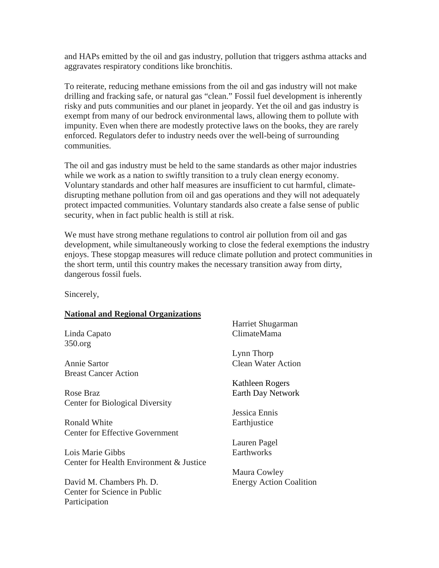and HAPs emitted by the oil and gas industry, pollution that triggers asthma attacks and aggravates respiratory conditions like bronchitis.

To reiterate, reducing methane emissions from the oil and gas industry will not make drilling and fracking safe, or natural gas "clean." Fossil fuel development is inherently risky and puts communities and our planet in jeopardy. Yet the oil and gas industry is exempt from many of our bedrock environmental laws, allowing them to pollute with impunity. Even when there are modestly protective laws on the books, they are rarely enforced. Regulators defer to industry needs over the well-being of surrounding communities.

The oil and gas industry must be held to the same standards as other major industries while we work as a nation to swiftly transition to a truly clean energy economy. Voluntary standards and other half measures are insufficient to cut harmful, climatedisrupting methane pollution from oil and gas operations and they will not adequately protect impacted communities. Voluntary standards also create a false sense of public security, when in fact public health is still at risk.

We must have strong methane regulations to control air pollution from oil and gas development, while simultaneously working to close the federal exemptions the industry enjoys. These stopgap measures will reduce climate pollution and protect communities in the short term, until this country makes the necessary transition away from dirty, dangerous fossil fuels.

Sincerely,

### **National and Regional Organizations**

Linda Capato 350.org

Annie Sartor Breast Cancer Action

Rose Braz Center for Biological Diversity

Ronald White Center for Effective Government

Lois Marie Gibbs Center for Health Environment & Justice

David M. Chambers Ph. D. Center for Science in Public Participation

Harriet Shugarman ClimateMama

Lynn Thorp Clean Water Action

Kathleen Rogers Earth Day Network

Jessica Ennis **Earthjustice** 

Lauren Pagel **Earthworks** 

Maura Cowley Energy Action Coalition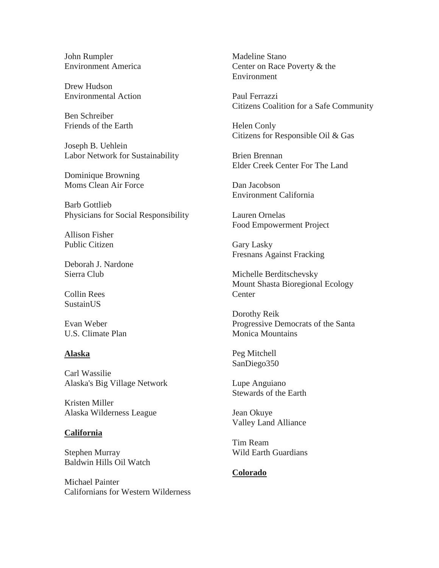John Rumpler Environment America

Drew Hudson Environmental Action

Ben Schreiber Friends of the Earth

Joseph B. Uehlein Labor Network for Sustainability

Dominique Browning Moms Clean Air Force

Barb Gottlieb Physicians for Social Responsibility

Allison Fisher Public Citizen

Deborah J. Nardone Sierra Club

Collin Rees **SustainUS** 

Evan Weber U.S. Climate Plan

### **Alaska**

Carl Wassilie Alaska's Big Village Network

Kristen Miller Alaska Wilderness League

### **California**

Stephen Murray Baldwin Hills Oil Watch

Michael Painter Californians for Western Wilderness Madeline Stano Center on Race Poverty & the Environment

Paul Ferrazzi Citizens Coalition for a Safe Community

Helen Conly Citizens for Responsible Oil & Gas

Brien Brennan Elder Creek Center For The Land

Dan Jacobson Environment California

Lauren Ornelas Food Empowerment Project

Gary Lasky Fresnans Against Fracking

Michelle Berditschevsky Mount Shasta Bioregional Ecology **Center** 

Dorothy Reik Progressive Democrats of the Santa Monica Mountains

Peg Mitchell SanDiego350

Lupe Anguiano Stewards of the Earth

Jean Okuye Valley Land Alliance

Tim Ream Wild Earth Guardians

## **Colorado**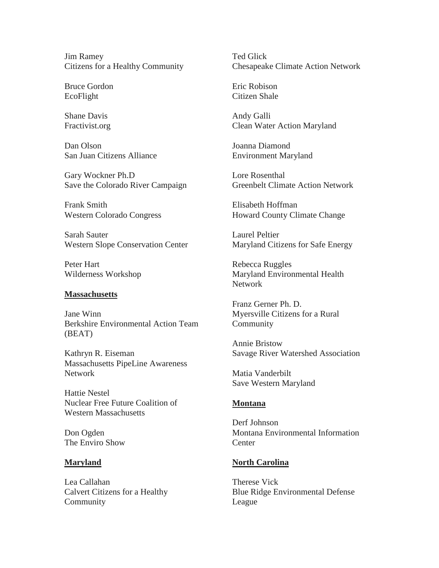Jim Ramey Citizens for a Healthy Community

Bruce Gordon EcoFlight

Shane Davis Fractivist.org

Dan Olson San Juan Citizens Alliance

Gary Wockner Ph.D Save the Colorado River Campaign

Frank Smith Western Colorado Congress

Sarah Sauter Western Slope Conservation Center

Peter Hart Wilderness Workshop

#### **Massachusetts**

Jane Winn Berkshire Environmental Action Team (BEAT)

Kathryn R. Eiseman Massachusetts PipeLine Awareness Network

Hattie Nestel Nuclear Free Future Coalition of Western Massachusetts

Don Ogden The Enviro Show

#### **Maryland**

Lea Callahan Calvert Citizens for a Healthy Community

Ted Glick Chesapeake Climate Action Network

Eric Robison Citizen Shale

Andy Galli Clean Water Action Maryland

Joanna Diamond Environment Maryland

Lore Rosenthal Greenbelt Climate Action Network

Elisabeth Hoffman Howard County Climate Change

Laurel Peltier Maryland Citizens for Safe Energy

Rebecca Ruggles Maryland Environmental Health **Network** 

Franz Gerner Ph. D. Myersville Citizens for a Rural Community

Annie Bristow Savage River Watershed Association

Matia Vanderbilt Save Western Maryland

#### **Montana**

Derf Johnson Montana Environmental Information **Center** 

### **North Carolina**

Therese Vick Blue Ridge Environmental Defense League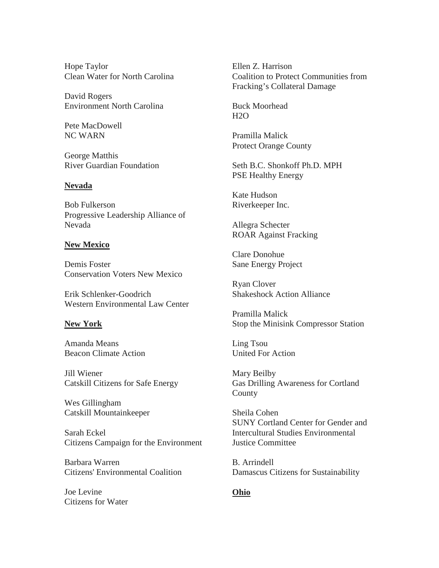Hope Taylor Clean Water for North Carolina

David Rogers Environment North Carolina

Pete MacDowell NC WARN

George Matthis River Guardian Foundation

## **Nevada**

Bob Fulkerson Progressive Leadership Alliance of Nevada

## **New Mexico**

Demis Foster Conservation Voters New Mexico

Erik Schlenker-Goodrich Western Environmental Law Center

### **New York**

Amanda Means Beacon Climate Action

Jill Wiener Catskill Citizens for Safe Energy

Wes Gillingham Catskill Mountainkeeper

Sarah Eckel Citizens Campaign for the Environment

Barbara Warren Citizens' Environmental Coalition

Joe Levine Citizens for Water Ellen Z. Harrison Coalition to Protect Communities from Fracking's Collateral Damage

Buck Moorhead  $H2O$ 

Pramilla Malick Protect Orange County

Seth B.C. Shonkoff Ph.D. MPH PSE Healthy Energy

Kate Hudson Riverkeeper Inc.

Allegra Schecter ROAR Against Fracking

Clare Donohue Sane Energy Project

Ryan Clover Shakeshock Action Alliance

Pramilla Malick Stop the Minisink Compressor Station

Ling Tsou United For Action

Mary Beilby Gas Drilling Awareness for Cortland County

Sheila Cohen SUNY Cortland Center for Gender and Intercultural Studies Environmental Justice Committee

B. Arrindell Damascus Citizens for Sustainability

# **Ohio**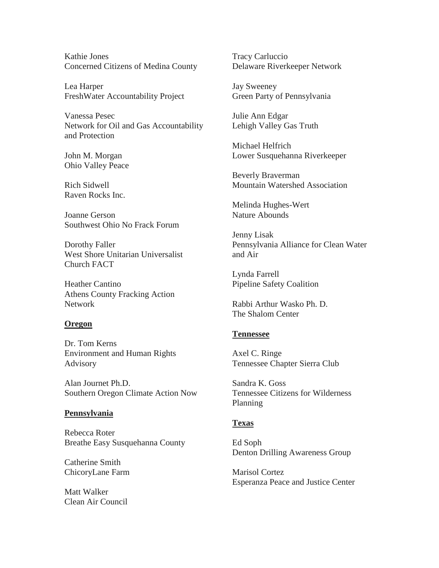Kathie Jones Concerned Citizens of Medina County

Lea Harper FreshWater Accountability Project

Vanessa Pesec Network for Oil and Gas Accountability and Protection

John M. Morgan Ohio Valley Peace

Rich Sidwell Raven Rocks Inc.

Joanne Gerson Southwest Ohio No Frack Forum

Dorothy Faller West Shore Unitarian Universalist Church FACT

Heather Cantino Athens County Fracking Action Network

### **Oregon**

Dr. Tom Kerns Environment and Human Rights Advisory

Alan Journet Ph.D. Southern Oregon Climate Action Now

### **Pennsylvania**

Rebecca Roter Breathe Easy Susquehanna County

Catherine Smith ChicoryLane Farm

Matt Walker Clean Air Council Tracy Carluccio Delaware Riverkeeper Network

Jay Sweeney Green Party of Pennsylvania

Julie Ann Edgar Lehigh Valley Gas Truth

Michael Helfrich Lower Susquehanna Riverkeeper

Beverly Braverman Mountain Watershed Association

Melinda Hughes-Wert Nature Abounds

Jenny Lisak Pennsylvania Alliance for Clean Water and Air

Lynda Farrell Pipeline Safety Coalition

Rabbi Arthur Wasko Ph. D. The Shalom Center

### **Tennessee**

Axel C. Ringe Tennessee Chapter Sierra Club

Sandra K. Goss Tennessee Citizens for Wilderness Planning

## **Texas**

Ed Soph Denton Drilling Awareness Group

Marisol Cortez Esperanza Peace and Justice Center